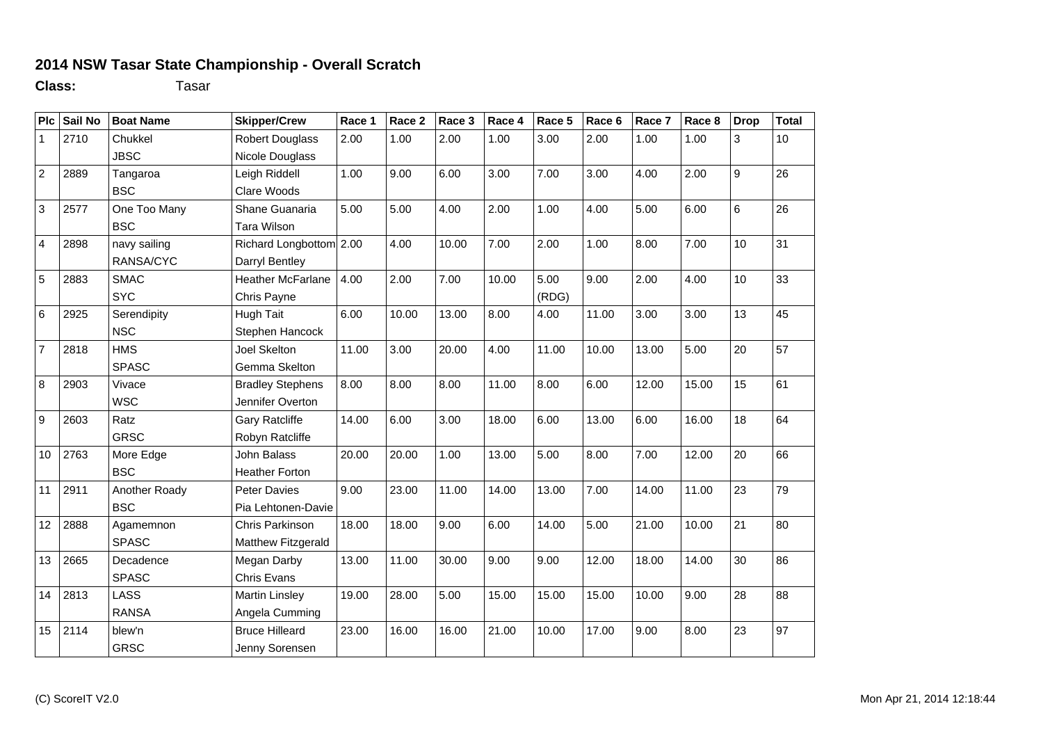## **2014 NSW Tasar State Championship - Overall Scratch**

**Class:** Tasar

| Plc             | Sail No | <b>Boat Name</b> | <b>Skipper/Crew</b>      | Race 1 | Race 2 | Race 3 | Race 4 | Race 5 | Race 6 | Race 7 | Race 8 | <b>Drop</b> | <b>Total</b> |
|-----------------|---------|------------------|--------------------------|--------|--------|--------|--------|--------|--------|--------|--------|-------------|--------------|
| $\mathbf{1}$    | 2710    | Chukkel          | <b>Robert Douglass</b>   | 2.00   | 1.00   | 2.00   | 1.00   | 3.00   | 2.00   | 1.00   | 1.00   | 3           | 10           |
|                 |         | <b>JBSC</b>      | Nicole Douglass          |        |        |        |        |        |        |        |        |             |              |
| $\overline{2}$  | 2889    | Tangaroa         | Leigh Riddell            | 1.00   | 9.00   | 6.00   | 3.00   | 7.00   | 3.00   | 4.00   | 2.00   | 9           | 26           |
|                 |         | <b>BSC</b>       | Clare Woods              |        |        |        |        |        |        |        |        |             |              |
| 3               | 2577    | One Too Many     | Shane Guanaria           | 5.00   | 5.00   | 4.00   | 2.00   | 1.00   | 4.00   | 5.00   | 6.00   | 6           | 26           |
|                 |         | <b>BSC</b>       | <b>Tara Wilson</b>       |        |        |        |        |        |        |        |        |             |              |
| $\overline{4}$  | 2898    | navy sailing     | Richard Longbottom 2.00  |        | 4.00   | 10.00  | 7.00   | 2.00   | 1.00   | 8.00   | 7.00   | 10          | 31           |
|                 |         | RANSA/CYC        | Darryl Bentley           |        |        |        |        |        |        |        |        |             |              |
| 5               | 2883    | <b>SMAC</b>      | <b>Heather McFarlane</b> | 4.00   | 2.00   | 7.00   | 10.00  | 5.00   | 9.00   | 2.00   | 4.00   | 10          | 33           |
|                 |         | <b>SYC</b>       | Chris Payne              |        |        |        |        | (RDG)  |        |        |        |             |              |
| $6\phantom{1}6$ | 2925    | Serendipity      | Hugh Tait                | 6.00   | 10.00  | 13.00  | 8.00   | 4.00   | 11.00  | 3.00   | 3.00   | 13          | 45           |
|                 |         | <b>NSC</b>       | Stephen Hancock          |        |        |        |        |        |        |        |        |             |              |
| $\overline{7}$  | 2818    | <b>HMS</b>       | <b>Joel Skelton</b>      | 11.00  | 3.00   | 20.00  | 4.00   | 11.00  | 10.00  | 13.00  | 5.00   | 20          | 57           |
|                 |         | <b>SPASC</b>     | Gemma Skelton            |        |        |        |        |        |        |        |        |             |              |
| 8               | 2903    | Vivace           | <b>Bradley Stephens</b>  | 8.00   | 8.00   | 8.00   | 11.00  | 8.00   | 6.00   | 12.00  | 15.00  | 15          | 61           |
|                 |         | <b>WSC</b>       | Jennifer Overton         |        |        |        |        |        |        |        |        |             |              |
| 9               | 2603    | Ratz             | Gary Ratcliffe           | 14.00  | 6.00   | 3.00   | 18.00  | 6.00   | 13.00  | 6.00   | 16.00  | 18          | 64           |
|                 |         | <b>GRSC</b>      | Robyn Ratcliffe          |        |        |        |        |        |        |        |        |             |              |
| 10              | 2763    | More Edge        | John Balass              | 20.00  | 20.00  | 1.00   | 13.00  | 5.00   | 8.00   | 7.00   | 12.00  | 20          | 66           |
|                 |         | <b>BSC</b>       | <b>Heather Forton</b>    |        |        |        |        |        |        |        |        |             |              |
| 11              | 2911    | Another Roady    | <b>Peter Davies</b>      | 9.00   | 23.00  | 11.00  | 14.00  | 13.00  | 7.00   | 14.00  | 11.00  | 23          | 79           |
|                 |         | <b>BSC</b>       | Pia Lehtonen-Davie       |        |        |        |        |        |        |        |        |             |              |
| 12              | 2888    | Agamemnon        | Chris Parkinson          | 18.00  | 18.00  | 9.00   | 6.00   | 14.00  | 5.00   | 21.00  | 10.00  | 21          | 80           |
|                 |         | <b>SPASC</b>     | Matthew Fitzgerald       |        |        |        |        |        |        |        |        |             |              |
| 13              | 2665    | Decadence        | Megan Darby              | 13.00  | 11.00  | 30.00  | 9.00   | 9.00   | 12.00  | 18.00  | 14.00  | 30          | 86           |
|                 |         | <b>SPASC</b>     | <b>Chris Evans</b>       |        |        |        |        |        |        |        |        |             |              |
| 14              | 2813    | LASS             | <b>Martin Linsley</b>    | 19.00  | 28.00  | 5.00   | 15.00  | 15.00  | 15.00  | 10.00  | 9.00   | 28          | 88           |
|                 |         | <b>RANSA</b>     | Angela Cumming           |        |        |        |        |        |        |        |        |             |              |
| 15              | 2114    | blew'n           | <b>Bruce Hilleard</b>    | 23.00  | 16.00  | 16.00  | 21.00  | 10.00  | 17.00  | 9.00   | 8.00   | 23          | 97           |
|                 |         | <b>GRSC</b>      | Jenny Sorensen           |        |        |        |        |        |        |        |        |             |              |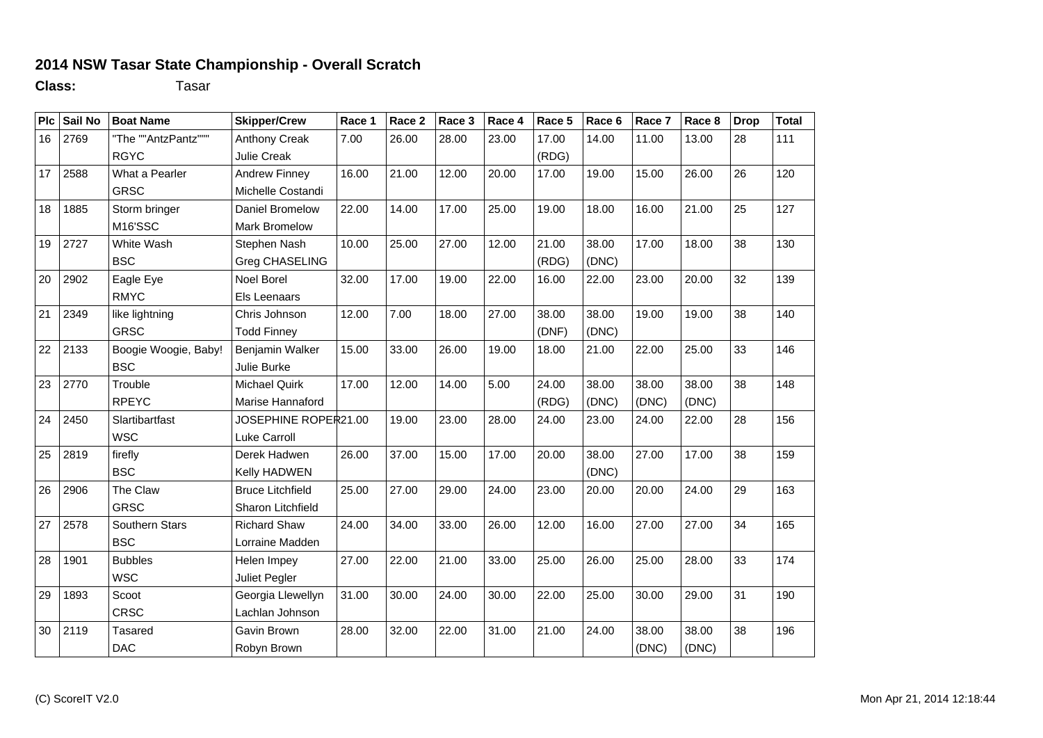## **2014 NSW Tasar State Championship - Overall Scratch**

**Class:** Tasar

| Plc | Sail No | <b>Boat Name</b>     | <b>Skipper/Crew</b>      | Race 1 | Race 2 | Race 3 | Race 4 | Race 5 | Race 6 | Race 7 | Race 8 | <b>Drop</b> | <b>Total</b> |
|-----|---------|----------------------|--------------------------|--------|--------|--------|--------|--------|--------|--------|--------|-------------|--------------|
| 16  | 2769    | "The ""AntzPantz"""  | <b>Anthony Creak</b>     | 7.00   | 26.00  | 28.00  | 23.00  | 17.00  | 14.00  | 11.00  | 13.00  | 28          | 111          |
|     |         | <b>RGYC</b>          | <b>Julie Creak</b>       |        |        |        |        | (RDG)  |        |        |        |             |              |
| 17  | 2588    | What a Pearler       | <b>Andrew Finney</b>     | 16.00  | 21.00  | 12.00  | 20.00  | 17.00  | 19.00  | 15.00  | 26.00  | 26          | 120          |
|     |         | <b>GRSC</b>          | Michelle Costandi        |        |        |        |        |        |        |        |        |             |              |
| 18  | 1885    | Storm bringer        | Daniel Bromelow          | 22.00  | 14.00  | 17.00  | 25.00  | 19.00  | 18.00  | 16.00  | 21.00  | 25          | 127          |
|     |         | M16'SSC              | <b>Mark Bromelow</b>     |        |        |        |        |        |        |        |        |             |              |
| 19  | 2727    | White Wash           | Stephen Nash             | 10.00  | 25.00  | 27.00  | 12.00  | 21.00  | 38.00  | 17.00  | 18.00  | 38          | 130          |
|     |         | <b>BSC</b>           | Greg CHASELING           |        |        |        |        | (RDG)  | (DNC)  |        |        |             |              |
| 20  | 2902    | Eagle Eye            | Noel Borel               | 32.00  | 17.00  | 19.00  | 22.00  | 16.00  | 22.00  | 23.00  | 20.00  | 32          | 139          |
|     |         | <b>RMYC</b>          | Els Leenaars             |        |        |        |        |        |        |        |        |             |              |
| 21  | 2349    | like lightning       | Chris Johnson            | 12.00  | 7.00   | 18.00  | 27.00  | 38.00  | 38.00  | 19.00  | 19.00  | 38          | 140          |
|     |         | <b>GRSC</b>          | <b>Todd Finney</b>       |        |        |        |        | (DNF)  | (DNC)  |        |        |             |              |
| 22  | 2133    | Boogie Woogie, Baby! | Benjamin Walker          | 15.00  | 33.00  | 26.00  | 19.00  | 18.00  | 21.00  | 22.00  | 25.00  | 33          | 146          |
|     |         | <b>BSC</b>           | Julie Burke              |        |        |        |        |        |        |        |        |             |              |
| 23  | 2770    | Trouble              | <b>Michael Quirk</b>     | 17.00  | 12.00  | 14.00  | 5.00   | 24.00  | 38.00  | 38.00  | 38.00  | 38          | 148          |
|     |         | <b>RPEYC</b>         | Marise Hannaford         |        |        |        |        | (RDG)  | (DNC)  | (DNC)  | (DNC)  |             |              |
| 24  | 2450    | Slartibartfast       | JOSEPHINE ROPER21.00     |        | 19.00  | 23.00  | 28.00  | 24.00  | 23.00  | 24.00  | 22.00  | 28          | 156          |
|     |         | <b>WSC</b>           | Luke Carroll             |        |        |        |        |        |        |        |        |             |              |
| 25  | 2819    | firefly              | Derek Hadwen             | 26.00  | 37.00  | 15.00  | 17.00  | 20.00  | 38.00  | 27.00  | 17.00  | 38          | 159          |
|     |         | <b>BSC</b>           | Kelly HADWEN             |        |        |        |        |        | (DNC)  |        |        |             |              |
| 26  | 2906    | The Claw             | <b>Bruce Litchfield</b>  | 25.00  | 27.00  | 29.00  | 24.00  | 23.00  | 20.00  | 20.00  | 24.00  | 29          | 163          |
|     |         | <b>GRSC</b>          | <b>Sharon Litchfield</b> |        |        |        |        |        |        |        |        |             |              |
| 27  | 2578    | Southern Stars       | <b>Richard Shaw</b>      | 24.00  | 34.00  | 33.00  | 26.00  | 12.00  | 16.00  | 27.00  | 27.00  | 34          | 165          |
|     |         | <b>BSC</b>           | Lorraine Madden          |        |        |        |        |        |        |        |        |             |              |
| 28  | 1901    | <b>Bubbles</b>       | Helen Impey              | 27.00  | 22.00  | 21.00  | 33.00  | 25.00  | 26.00  | 25.00  | 28.00  | 33          | 174          |
|     |         | <b>WSC</b>           | Juliet Pegler            |        |        |        |        |        |        |        |        |             |              |
| 29  | 1893    | Scoot                | Georgia Llewellyn        | 31.00  | 30.00  | 24.00  | 30.00  | 22.00  | 25.00  | 30.00  | 29.00  | 31          | 190          |
|     |         | <b>CRSC</b>          | Lachlan Johnson          |        |        |        |        |        |        |        |        |             |              |
| 30  | 2119    | <b>Tasared</b>       | Gavin Brown              | 28.00  | 32.00  | 22.00  | 31.00  | 21.00  | 24.00  | 38.00  | 38.00  | 38          | 196          |
|     |         | DAC                  | Robyn Brown              |        |        |        |        |        |        | (DNC)  | (DNC)  |             |              |